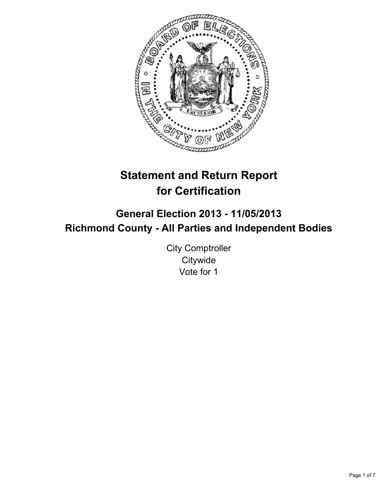

# **Statement and Return Report for Certification**

## **General Election 2013 - 11/05/2013 Richmond County - All Parties and Independent Bodies**

City Comptroller **Citywide** Vote for 1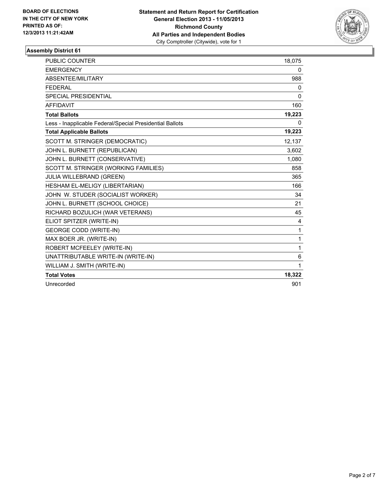

| PUBLIC COUNTER                                           | 18,075       |
|----------------------------------------------------------|--------------|
| <b>EMERGENCY</b>                                         | 0            |
| ABSENTEE/MILITARY                                        | 988          |
| <b>FEDERAL</b>                                           | 0            |
| <b>SPECIAL PRESIDENTIAL</b>                              | $\mathbf{0}$ |
| <b>AFFIDAVIT</b>                                         | 160          |
| <b>Total Ballots</b>                                     | 19,223       |
| Less - Inapplicable Federal/Special Presidential Ballots | 0            |
| <b>Total Applicable Ballots</b>                          | 19,223       |
| SCOTT M. STRINGER (DEMOCRATIC)                           | 12,137       |
| JOHN L. BURNETT (REPUBLICAN)                             | 3,602        |
| JOHN L. BURNETT (CONSERVATIVE)                           | 1,080        |
| SCOTT M. STRINGER (WORKING FAMILIES)                     | 858          |
| <b>JULIA WILLEBRAND (GREEN)</b>                          | 365          |
| HESHAM EL-MELIGY (LIBERTARIAN)                           | 166          |
| JOHN W. STUDER (SOCIALIST WORKER)                        | 34           |
| JOHN L. BURNETT (SCHOOL CHOICE)                          | 21           |
| RICHARD BOZULICH (WAR VETERANS)                          | 45           |
| ELIOT SPITZER (WRITE-IN)                                 | 4            |
| <b>GEORGE CODD (WRITE-IN)</b>                            | $\mathbf{1}$ |
| MAX BOER JR. (WRITE-IN)                                  | $\mathbf{1}$ |
| ROBERT MCFEELEY (WRITE-IN)                               | 1            |
| UNATTRIBUTABLE WRITE-IN (WRITE-IN)                       | 6            |
| WILLIAM J. SMITH (WRITE-IN)                              | 1            |
| <b>Total Votes</b>                                       | 18,322       |
| Unrecorded                                               | 901          |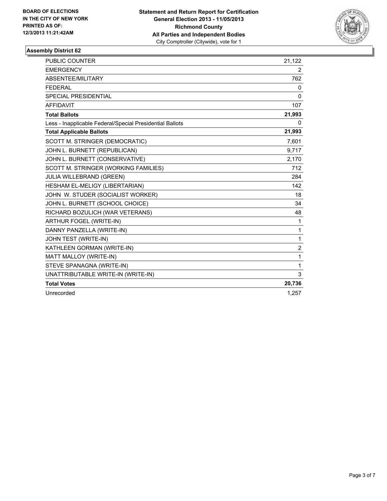

| <b>PUBLIC COUNTER</b>                                    | 21,122         |
|----------------------------------------------------------|----------------|
| <b>EMERGENCY</b>                                         | 2              |
| ABSENTEE/MILITARY                                        | 762            |
| <b>FEDERAL</b>                                           | 0              |
| <b>SPECIAL PRESIDENTIAL</b>                              | $\mathbf{0}$   |
| <b>AFFIDAVIT</b>                                         | 107            |
| <b>Total Ballots</b>                                     | 21,993         |
| Less - Inapplicable Federal/Special Presidential Ballots | 0              |
| <b>Total Applicable Ballots</b>                          | 21,993         |
| SCOTT M. STRINGER (DEMOCRATIC)                           | 7,601          |
| JOHN L. BURNETT (REPUBLICAN)                             | 9,717          |
| JOHN L. BURNETT (CONSERVATIVE)                           | 2,170          |
| SCOTT M. STRINGER (WORKING FAMILIES)                     | 712            |
| JULIA WILLEBRAND (GREEN)                                 | 284            |
| HESHAM EL-MELIGY (LIBERTARIAN)                           | 142            |
| JOHN W. STUDER (SOCIALIST WORKER)                        | 18             |
| JOHN L. BURNETT (SCHOOL CHOICE)                          | 34             |
| RICHARD BOZULICH (WAR VETERANS)                          | 48             |
| <b>ARTHUR FOGEL (WRITE-IN)</b>                           | 1              |
| DANNY PANZELLA (WRITE-IN)                                | $\mathbf{1}$   |
| JOHN TEST (WRITE-IN)                                     | 1              |
| KATHLEEN GORMAN (WRITE-IN)                               | $\overline{2}$ |
| MATT MALLOY (WRITE-IN)                                   | 1              |
| STEVE SPANAGNA (WRITE-IN)                                | 1              |
| UNATTRIBUTABLE WRITE-IN (WRITE-IN)                       | 3              |
| <b>Total Votes</b>                                       | 20,736         |
| Unrecorded                                               | 1,257          |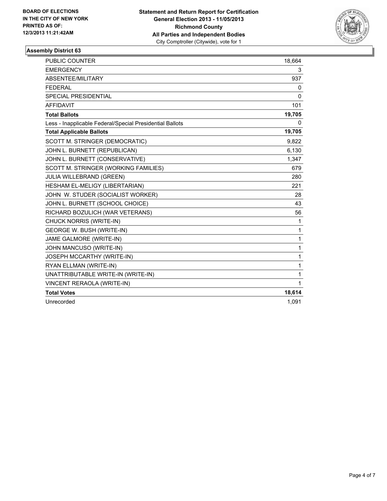

| <b>PUBLIC COUNTER</b>                                    | 18,664       |
|----------------------------------------------------------|--------------|
| <b>EMERGENCY</b>                                         | 3            |
| ABSENTEE/MILITARY                                        | 937          |
| <b>FEDERAL</b>                                           | 0            |
| <b>SPECIAL PRESIDENTIAL</b>                              | $\mathbf{0}$ |
| <b>AFFIDAVIT</b>                                         | 101          |
| <b>Total Ballots</b>                                     | 19,705       |
| Less - Inapplicable Federal/Special Presidential Ballots | 0            |
| <b>Total Applicable Ballots</b>                          | 19,705       |
| SCOTT M. STRINGER (DEMOCRATIC)                           | 9,822        |
| JOHN L. BURNETT (REPUBLICAN)                             | 6,130        |
| JOHN L. BURNETT (CONSERVATIVE)                           | 1,347        |
| SCOTT M. STRINGER (WORKING FAMILIES)                     | 679          |
| <b>JULIA WILLEBRAND (GREEN)</b>                          | 280          |
| HESHAM EL-MELIGY (LIBERTARIAN)                           | 221          |
| JOHN W. STUDER (SOCIALIST WORKER)                        | 28           |
| JOHN L. BURNETT (SCHOOL CHOICE)                          | 43           |
| RICHARD BOZULICH (WAR VETERANS)                          | 56           |
| CHUCK NORRIS (WRITE-IN)                                  | 1            |
| GEORGE W. BUSH (WRITE-IN)                                | 1            |
| JAME GALMORE (WRITE-IN)                                  | 1            |
| JOHN MANCUSO (WRITE-IN)                                  | 1            |
| JOSEPH MCCARTHY (WRITE-IN)                               | 1            |
| RYAN ELLMAN (WRITE-IN)                                   | 1            |
| UNATTRIBUTABLE WRITE-IN (WRITE-IN)                       | 1            |
| VINCENT RERAOLA (WRITE-IN)                               | 1            |
| <b>Total Votes</b>                                       | 18,614       |
| Unrecorded                                               | 1,091        |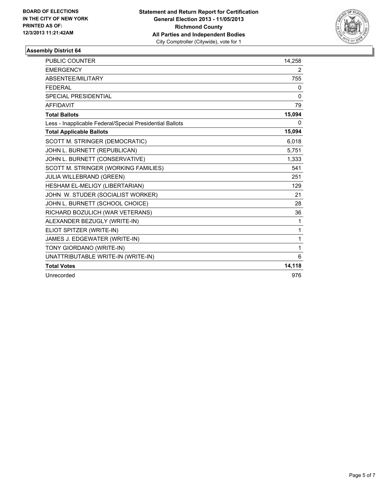

| PUBLIC COUNTER                                           | 14,258       |
|----------------------------------------------------------|--------------|
| <b>EMERGENCY</b>                                         | 2            |
| <b>ABSENTEE/MILITARY</b>                                 | 755          |
| <b>FFDFRAL</b>                                           | 0            |
| <b>SPECIAL PRESIDENTIAL</b>                              | $\mathbf{0}$ |
| <b>AFFIDAVIT</b>                                         | 79           |
| <b>Total Ballots</b>                                     | 15,094       |
| Less - Inapplicable Federal/Special Presidential Ballots | 0            |
| <b>Total Applicable Ballots</b>                          | 15,094       |
| SCOTT M. STRINGER (DEMOCRATIC)                           | 6,018        |
| JOHN L. BURNETT (REPUBLICAN)                             | 5,751        |
| JOHN L. BURNETT (CONSERVATIVE)                           | 1,333        |
| SCOTT M. STRINGER (WORKING FAMILIES)                     | 541          |
| JULIA WILLEBRAND (GREEN)                                 | 251          |
| HESHAM EL-MELIGY (LIBERTARIAN)                           | 129          |
| JOHN W. STUDER (SOCIALIST WORKER)                        | 21           |
| JOHN L. BURNETT (SCHOOL CHOICE)                          | 28           |
| RICHARD BOZULICH (WAR VETERANS)                          | 36           |
| ALEXANDER BEZUGLY (WRITE-IN)                             | 1            |
| ELIOT SPITZER (WRITE-IN)                                 | 1            |
| JAMES J. EDGEWATER (WRITE-IN)                            | 1            |
| TONY GIORDANO (WRITE-IN)                                 | 1            |
| UNATTRIBUTABLE WRITE-IN (WRITE-IN)                       | 6            |
| <b>Total Votes</b>                                       | 14,118       |
| Unrecorded                                               | 976          |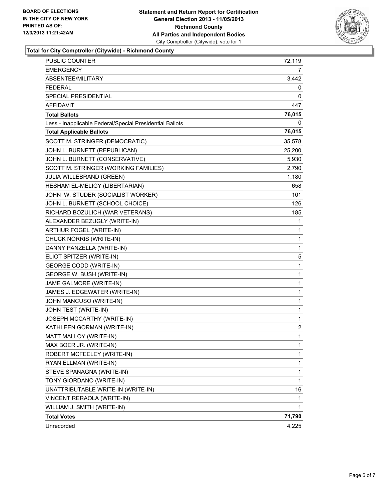

**Total for City Comptroller (Citywide) - Richmond County**

| PUBLIC COUNTER                                           | 72,119       |
|----------------------------------------------------------|--------------|
| <b>EMERGENCY</b>                                         | 7            |
| ABSENTEE/MILITARY                                        | 3,442        |
| <b>FEDERAL</b>                                           | 0            |
| SPECIAL PRESIDENTIAL                                     | 0            |
| AFFIDAVIT                                                | 447          |
| <b>Total Ballots</b>                                     | 76,015       |
| Less - Inapplicable Federal/Special Presidential Ballots | 0            |
| <b>Total Applicable Ballots</b>                          | 76,015       |
| SCOTT M. STRINGER (DEMOCRATIC)                           | 35,578       |
| JOHN L. BURNETT (REPUBLICAN)                             | 25,200       |
| JOHN L. BURNETT (CONSERVATIVE)                           | 5,930        |
| SCOTT M. STRINGER (WORKING FAMILIES)                     | 2,790        |
| JULIA WILLEBRAND (GREEN)                                 | 1,180        |
| HESHAM EL-MELIGY (LIBERTARIAN)                           | 658          |
| JOHN W. STUDER (SOCIALIST WORKER)                        | 101          |
| JOHN L. BURNETT (SCHOOL CHOICE)                          | 126          |
| RICHARD BOZULICH (WAR VETERANS)                          | 185          |
| ALEXANDER BEZUGLY (WRITE-IN)                             | 1            |
| ARTHUR FOGEL (WRITE-IN)                                  | 1            |
| CHUCK NORRIS (WRITE-IN)                                  | $\mathbf{1}$ |
| DANNY PANZELLA (WRITE-IN)                                | 1            |
| ELIOT SPITZER (WRITE-IN)                                 | 5            |
| <b>GEORGE CODD (WRITE-IN)</b>                            | 1            |
| GEORGE W. BUSH (WRITE-IN)                                | 1            |
| JAME GALMORE (WRITE-IN)                                  | 1            |
| JAMES J. EDGEWATER (WRITE-IN)                            | $\mathbf 1$  |
| JOHN MANCUSO (WRITE-IN)                                  | 1            |
| JOHN TEST (WRITE-IN)                                     | 1            |
| JOSEPH MCCARTHY (WRITE-IN)                               | 1            |
| KATHLEEN GORMAN (WRITE-IN)                               | 2            |
| MATT MALLOY (WRITE-IN)                                   | $\mathbf{1}$ |
| MAX BOER JR. (WRITE-IN)                                  | 1            |
| ROBERT MCFEELEY (WRITE-IN)                               | 1            |
| RYAN ELLMAN (WRITE-IN)                                   | 1            |
| STEVE SPANAGNA (WRITE-IN)                                | 1            |
| TONY GIORDANO (WRITE-IN)                                 | $\mathbf{1}$ |
| UNATTRIBUTABLE WRITE-IN (WRITE-IN)                       | 16           |
| VINCENT RERAOLA (WRITE-IN)                               | 1            |
| WILLIAM J. SMITH (WRITE-IN)                              | 1            |
| <b>Total Votes</b>                                       | 71,790       |
| Unrecorded                                               | 4,225        |